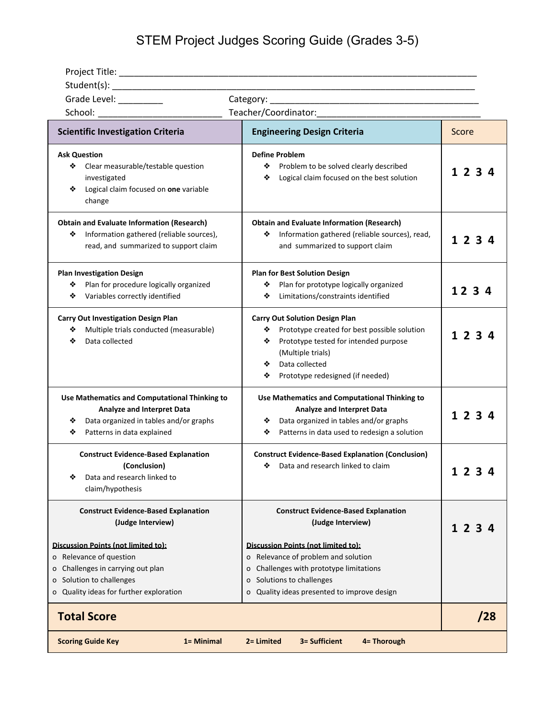STEM Project Judges Scoring Guide (Grades 3-5)

| Grade Level: _________                                                                                                                                                                                                                             |                                                                                                                                                                                                                                                                                   |         |
|----------------------------------------------------------------------------------------------------------------------------------------------------------------------------------------------------------------------------------------------------|-----------------------------------------------------------------------------------------------------------------------------------------------------------------------------------------------------------------------------------------------------------------------------------|---------|
| School: ____________________________                                                                                                                                                                                                               |                                                                                                                                                                                                                                                                                   |         |
| <b>Scientific Investigation Criteria</b>                                                                                                                                                                                                           | <b>Engineering Design Criteria</b>                                                                                                                                                                                                                                                | Score   |
| <b>Ask Question</b><br>Clear measurable/testable question<br>❖<br>investigated<br>Logical claim focused on one variable<br>❖<br>change                                                                                                             | <b>Define Problem</b><br>Problem to be solved clearly described<br>❖<br>Logical claim focused on the best solution<br>❖                                                                                                                                                           | 1234    |
| <b>Obtain and Evaluate Information (Research)</b><br>Information gathered (reliable sources),<br>❖<br>read, and summarized to support claim                                                                                                        | <b>Obtain and Evaluate Information (Research)</b><br>Information gathered (reliable sources), read,<br>❖<br>and summarized to support claim                                                                                                                                       | 1 2 3 4 |
| <b>Plan Investigation Design</b><br>Plan for procedure logically organized<br>❖<br>Variables correctly identified<br>❖                                                                                                                             | <b>Plan for Best Solution Design</b><br>Plan for prototype logically organized<br>❖<br>Limitations/constraints identified<br>❖                                                                                                                                                    | 123     |
| <b>Carry Out Investigation Design Plan</b><br>Multiple trials conducted (measurable)<br>❖<br>Data collected<br>❖                                                                                                                                   | <b>Carry Out Solution Design Plan</b><br>Prototype created for best possible solution<br>❖<br>Prototype tested for intended purpose<br>❖<br>(Multiple trials)<br>Data collected<br>❖<br>❖<br>Prototype redesigned (if needed)                                                     | 123     |
| Use Mathematics and Computational Thinking to<br><b>Analyze and Interpret Data</b><br>Data organized in tables and/or graphs<br>❖<br>Patterns in data explained<br>❖                                                                               | Use Mathematics and Computational Thinking to<br><b>Analyze and Interpret Data</b><br>Data organized in tables and/or graphs<br>❖<br>Patterns in data used to redesign a solution<br>❖                                                                                            | 123     |
| <b>Construct Evidence-Based Explanation</b><br>(Conclusion)<br>Data and research linked to<br>❖<br>claim/hypothesis                                                                                                                                | <b>Construct Evidence-Based Explanation (Conclusion)</b><br>Data and research linked to claim<br>❖                                                                                                                                                                                |         |
| <b>Construct Evidence-Based Explanation</b><br>(Judge Interview)<br>Discussion Points (not limited to):<br>o Relevance of question<br>Challenges in carrying out plan<br>Solution to challenges<br>o<br>Quality ideas for further exploration<br>о | <b>Construct Evidence-Based Explanation</b><br>(Judge Interview)<br>Discussion Points (not limited to):<br>o Relevance of problem and solution<br>Challenges with prototype limitations<br>0<br>Solutions to challenges<br>$\circ$<br>o Quality ideas presented to improve design | 23      |
| <b>Total Score</b>                                                                                                                                                                                                                                 |                                                                                                                                                                                                                                                                                   | /28     |
| 3= Sufficient<br><b>Scoring Guide Key</b><br>1 = Minimal<br>2= Limited<br>4= Thorough                                                                                                                                                              |                                                                                                                                                                                                                                                                                   |         |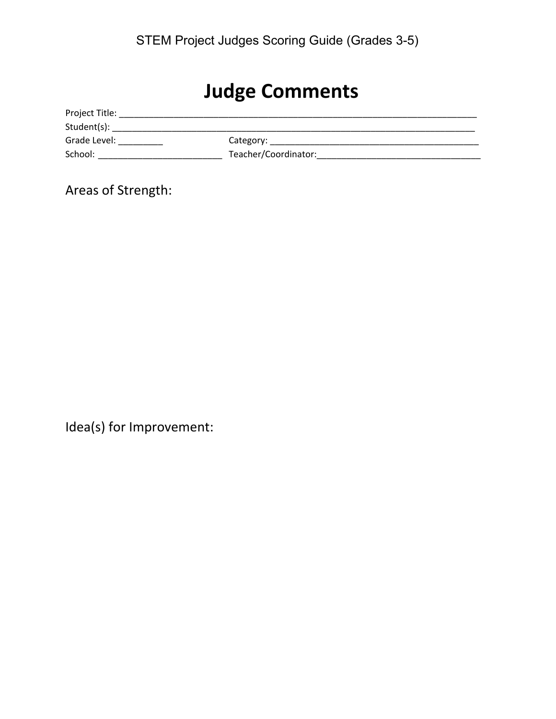## **Judge Comments**

| Project Title: |                      |
|----------------|----------------------|
| Student(s):    |                      |
| Grade Level:   | Category:            |
| School:        | Teacher/Coordinator: |

Areas of Strength:

Idea(s) for Improvement: